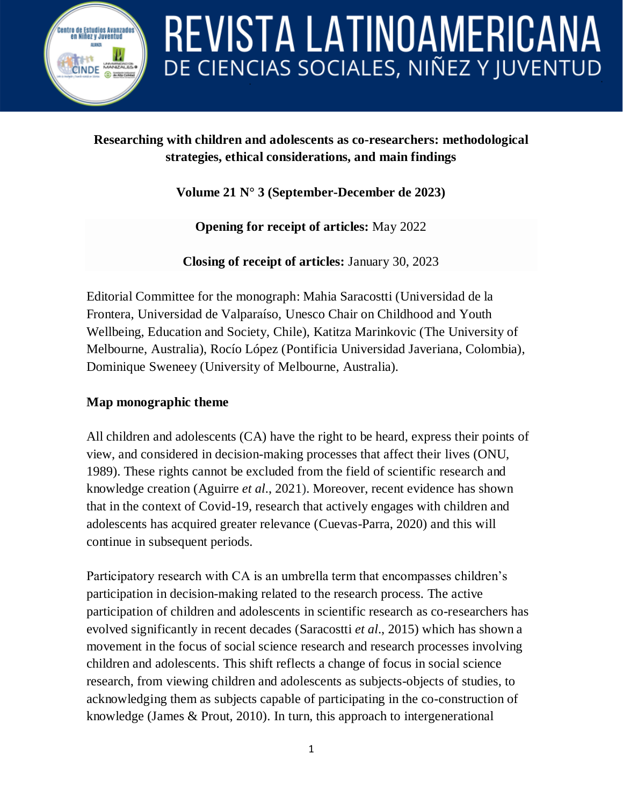

#### **Researching with children and adolescents as co-researchers: methodological strategies, ethical considerations, and main findings**

**Volume 21 N° 3 (September-December de 2023)**

**Opening for receipt of articles:** May 2022

**Closing of receipt of articles:** January 30, 2023

Editorial Committee for the monograph: Mahia Saracostti (Universidad de la Frontera, Universidad de Valparaíso, Unesco Chair on Childhood and Youth Wellbeing, Education and Society, Chile), Katitza Marinkovic (The University of Melbourne, Australia), Rocío López (Pontificia Universidad Javeriana, Colombia), Dominique Sweneey (University of Melbourne, Australia).

#### **Map monographic theme**

All children and adolescents (CA) have the right to be heard, express their points of view, and considered in decision-making processes that affect their lives (ONU, 1989). These rights cannot be excluded from the field of scientific research and knowledge creation (Aguirre *et al*., 2021). Moreover, recent evidence has shown that in the context of Covid-19, research that actively engages with children and adolescents has acquired greater relevance (Cuevas-Parra, 2020) and this will continue in subsequent periods.

Participatory research with CA is an umbrella term that encompasses children's participation in decision-making related to the research process. The active participation of children and adolescents in scientific research as co-researchers has evolved significantly in recent decades (Saracostti *et al*., 2015) which has shown a movement in the focus of social science research and research processes involving children and adolescents. This shift reflects a change of focus in social science research, from viewing children and adolescents as subjects-objects of studies, to acknowledging them as subjects capable of participating in the co-construction of knowledge (James & Prout, 2010). In turn, this approach to intergenerational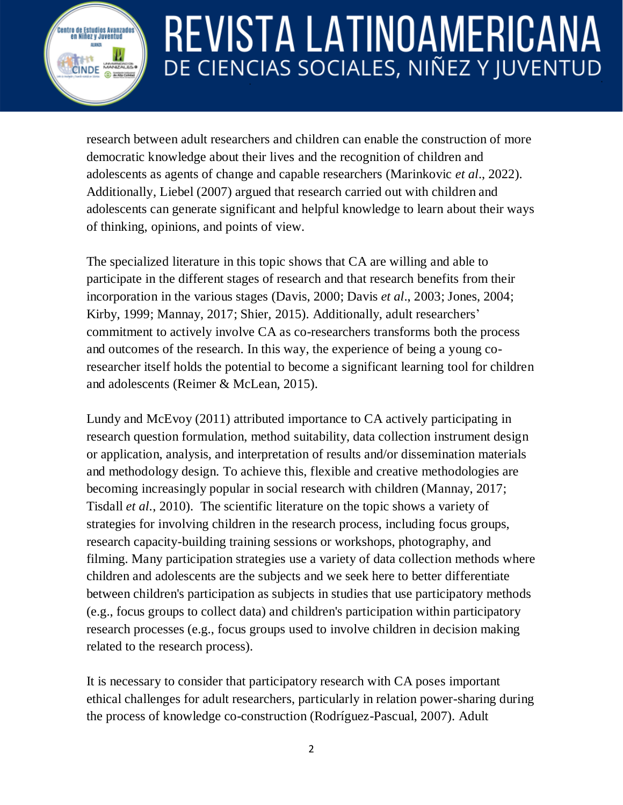research between adult researchers and children can enable the construction of more democratic knowledge about their lives and the recognition of children and adolescents as agents of change and capable researchers (Marinkovic *et al*., 2022). Additionally, Liebel (2007) argued that research carried out with children and adolescents can generate significant and helpful knowledge to learn about their ways of thinking, opinions, and points of view.

.<br>Centro de Estudios Avanzado:<br>en Niñez y Juventud

**CINDE** 

The specialized literature in this topic shows that CA are willing and able to participate in the different stages of research and that research benefits from their incorporation in the various stages (Davis, 2000; Davis *et al*., 2003; Jones, 2004; Kirby, 1999; Mannay, 2017; Shier, 2015). Additionally, adult researchers' commitment to actively involve CA as co-researchers transforms both the process and outcomes of the research. In this way, the experience of being a young coresearcher itself holds the potential to become a significant learning tool for children and adolescents (Reimer & McLean, 2015).

Lundy and McEvoy (2011) attributed importance to CA actively participating in research question formulation, method suitability, data collection instrument design or application, analysis, and interpretation of results and/or dissemination materials and methodology design. To achieve this, flexible and creative methodologies are becoming increasingly popular in social research with children (Mannay, 2017; Tisdall *et al*., 2010). The scientific literature on the topic shows a variety of strategies for involving children in the research process, including focus groups, research capacity-building training sessions or workshops, photography, and filming. Many participation strategies use a variety of data collection methods where children and adolescents are the subjects and we seek here to better differentiate between children's participation as subjects in studies that use participatory methods (e.g., focus groups to collect data) and children's participation within participatory research processes (e.g., focus groups used to involve children in decision making related to the research process).

It is necessary to consider that participatory research with CA poses important ethical challenges for adult researchers, particularly in relation power-sharing during the process of knowledge co-construction (Rodríguez-Pascual, 2007). Adult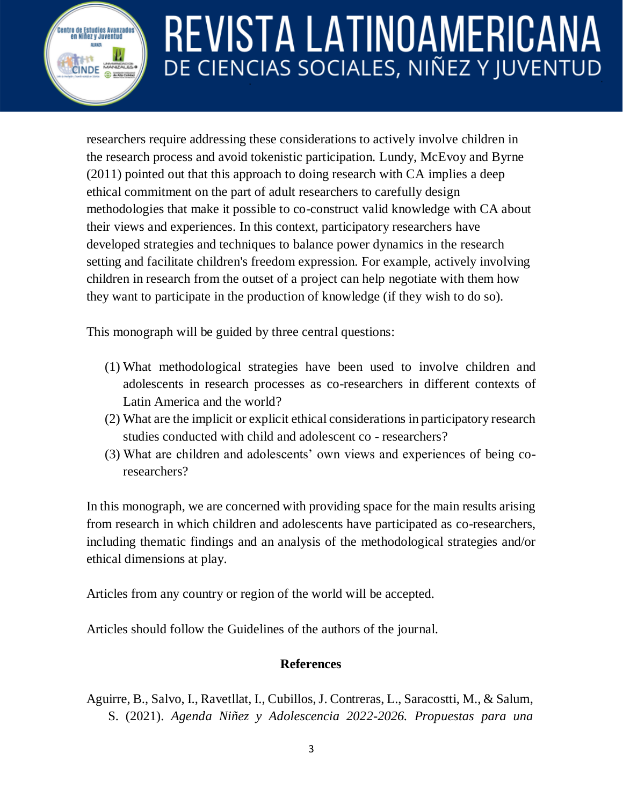researchers require addressing these considerations to actively involve children in the research process and avoid tokenistic participation. Lundy, McEvoy and Byrne (2011) pointed out that this approach to doing research with CA implies a deep ethical commitment on the part of adult researchers to carefully design methodologies that make it possible to co-construct valid knowledge with CA about their views and experiences. In this context, participatory researchers have developed strategies and techniques to balance power dynamics in the research setting and facilitate children's freedom expression. For example, actively involving children in research from the outset of a project can help negotiate with them how they want to participate in the production of knowledge (if they wish to do so).

This monograph will be guided by three central questions:

.<br>Centro de Estudios Avanzados<br>en Niñez y Juventud

CINDE

- (1) What methodological strategies have been used to involve children and adolescents in research processes as co-researchers in different contexts of Latin America and the world?
- (2) What are the implicit or explicit ethical considerations in participatory research studies conducted with child and adolescent co - researchers?
- (3) What are children and adolescents' own views and experiences of being coresearchers?

In this monograph, we are concerned with providing space for the main results arising from research in which children and adolescents have participated as co-researchers, including thematic findings and an analysis of the methodological strategies and/or ethical dimensions at play.

Articles from any country or region of the world will be accepted.

Articles should follow the Guidelines of the authors of the journal.

#### **References**

Aguirre, B., Salvo, I., Ravetllat, I., Cubillos, J. Contreras, L., Saracostti, M., & Salum, S. (2021). *Agenda Niñez y Adolescencia 2022-2026. Propuestas para una*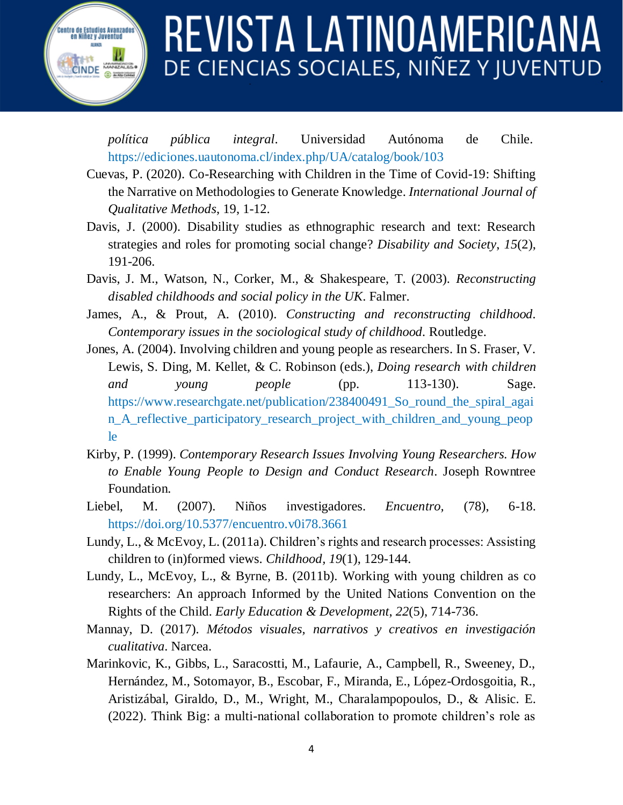*política pública integral*. Universidad Autónoma de Chile. <https://ediciones.uautonoma.cl/index.php/UA/catalog/book/103>

.<br>Centro de Estudios Avanzado:<br>en Niñez y Juventud

**CINDE** 

- Cuevas, P. (2020). Co-Researching with Children in the Time of Covid-19: Shifting the Narrative on Methodologies to Generate Knowledge. *International Journal of Qualitative Methods*, 19, 1-12.
- Davis, J. (2000). Disability studies as ethnographic research and text: Research strategies and roles for promoting social change? *Disability and Society*, *15*(2), 191-206.
- Davis, J. M., Watson, N., Corker, M., & Shakespeare, T. (2003). *Reconstructing disabled childhoods and social policy in the UK*. Falmer.
- James, A., & Prout, A. (2010). *Constructing and reconstructing childhood. Contemporary issues in the sociological study of childhood.* Routledge.
- Jones, A. (2004). Involving children and young people as researchers. In S. Fraser, V. Lewis, S. Ding, M. Kellet, & C. Robinson (eds.), *Doing research with children and young people* (pp. 113-130). Sage. [https://www.researchgate.net/publication/238400491\\_So\\_round\\_the\\_spiral\\_agai](https://www.researchgate.net/publication/238400491_So_round_the_spiral_again_A_reflective_participatory_research_project_with_children_and_young_people) [n\\_A\\_reflective\\_participatory\\_research\\_project\\_with\\_children\\_and\\_young\\_peop](https://www.researchgate.net/publication/238400491_So_round_the_spiral_again_A_reflective_participatory_research_project_with_children_and_young_people) [le](https://www.researchgate.net/publication/238400491_So_round_the_spiral_again_A_reflective_participatory_research_project_with_children_and_young_people)
- Kirby, P. (1999). *Contemporary Research Issues Involving Young Researchers. How to Enable Young People to Design and Conduct Research*. Joseph Rowntree Foundation.
- Liebel, M. (2007). Niños investigadores. *Encuentro,* (78), 6-18. <https://doi.org/10.5377/encuentro.v0i78.3661>
- Lundy, L., & McEvoy, L. (2011a). Children's rights and research processes: Assisting children to (in)formed views. *Childhood, 19*(1), 129-144.
- Lundy, L., McEvoy, L., & Byrne, B. (2011b). Working with young children as co researchers: An approach Informed by the United Nations Convention on the Rights of the Child. *Early Education & Development*, *22*(5), 714-736.
- Mannay, D. (2017). *Métodos visuales, narrativos y creativos en investigación cualitativa*. Narcea.
- Marinkovic, K., Gibbs, L., Saracostti, M., Lafaurie, A., Campbell, R., Sweeney, D., Hernández, M., Sotomayor, B., Escobar, F., Miranda, E., López-Ordosgoitia, R., Aristizábal, Giraldo, D., M., Wright, M., Charalampopoulos, D., & Alisic. E. (2022). Think Big: a multi-national collaboration to promote children's role as